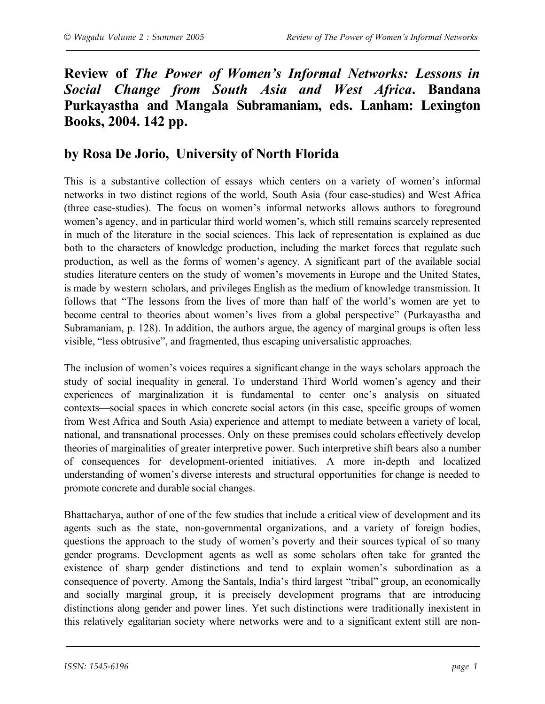## **Review of** *The Power of Women's Informal Networks: Lessons in Social Change from South Asia and West Africa***. Bandana Purkayastha and Mangala Subramaniam, eds. Lanham: Lexington Books, 2004. 142 pp.**

## **by Rosa De Jorio, University of North Florida**

This is a substantive collection of essays which centers on a variety of women's informal networks in two distinct regions of the world, South Asia (four case-studies) and West Africa (three case-studies). The focus on women's informal networks allows authors to foreground women's agency, and in particular third world women's, which still remains scarcely represented in much of the literature in the social sciences. This lack of representation is explained as due both to the characters of knowledge production, including the market forces that regulate such production, as well as the forms of women's agency. A significant part of the available social studies literature centers on the study of women's movements in Europe and the United States, is made by western scholars, and privileges English as the medium of knowledge transmission. It follows that "The lessons from the lives of more than half of the world's women are yet to become central to theories about women's lives from a global perspective" (Purkayastha and Subramaniam, p. 128). In addition, the authors argue, the agency of marginal groups is often less visible, "less obtrusive", and fragmented, thus escaping universalistic approaches.

The inclusion of women's voices requires a significant change in the ways scholars approach the study of social inequality in general. To understand Third World women's agency and their experiences of marginalization it is fundamental to center one's analysis on situated contexts—social spaces in which concrete social actors (in this case, specific groups of women from West Africa and South Asia) experience and attempt to mediate between a variety of local, national, and transnational processes. Only on these premises could scholars effectively develop theories of marginalities of greater interpretive power. Such interpretive shift bears also a number of consequences for development-oriented initiatives. A more in-depth and localized understanding of women's diverse interests and structural opportunities for change is needed to promote concrete and durable social changes.

Bhattacharya, author of one of the few studies that include a critical view of development and its agents such as the state, non-governmental organizations, and a variety of foreign bodies, questions the approach to the study of women's poverty and their sources typical of so many gender programs. Development agents as well as some scholars often take for granted the existence of sharp gender distinctions and tend to explain women's subordination as a consequence of poverty. Among the Santals, India's third largest "tribal" group, an economically and socially marginal group, it is precisely development programs that are introducing distinctions along gender and power lines. Yet such distinctions were traditionally inexistent in this relatively egalitarian society where networks were and to a significant extent still are non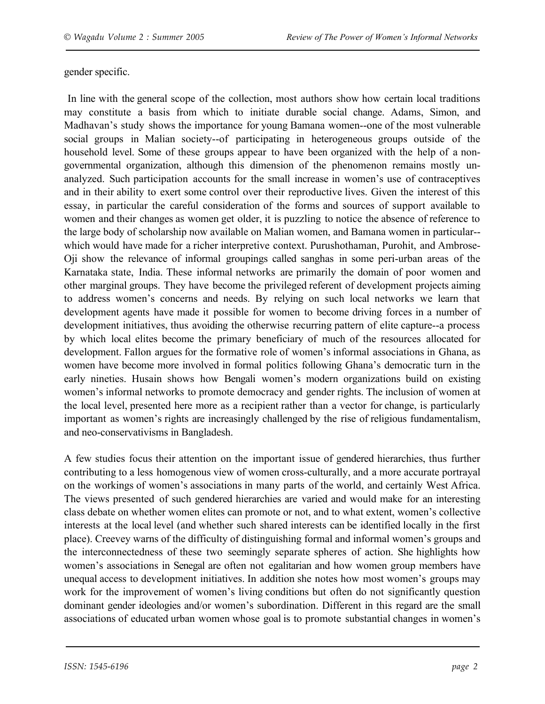gender specific.

In line with the general scope of the collection, most authors show how certain local traditions may constitute a basis from which to initiate durable social change. Adams, Simon, and Madhavan's study shows the importance for young Bamana women--one of the most vulnerable social groups in Malian society--of participating in heterogeneous groups outside of the household level. Some of these groups appear to have been organized with the help of a nongovernmental organization, although this dimension of the phenomenon remains mostly unanalyzed. Such participation accounts for the small increase in women's use of contraceptives and in their ability to exert some control over their reproductive lives. Given the interest of this essay, in particular the careful consideration of the forms and sources of support available to women and their changes as women get older, it is puzzling to notice the absence of reference to the large body of scholarship now available on Malian women, and Bamana women in particular- which would have made for a richer interpretive context. Purushothaman, Purohit, and Ambrose-Oji show the relevance of informal groupings called sanghas in some peri-urban areas of the Karnataka state, India. These informal networks are primarily the domain of poor women and other marginal groups. They have become the privileged referent of development projects aiming to address women's concerns and needs. By relying on such local networks we learn that development agents have made it possible for women to become driving forces in a number of development initiatives, thus avoiding the otherwise recurring pattern of elite capture--a process by which local elites become the primary beneficiary of much of the resources allocated for development. Fallon argues for the formative role of women's informal associations in Ghana, as women have become more involved in formal politics following Ghana's democratic turn in the early nineties. Husain shows how Bengali women's modern organizations build on existing women's informal networks to promote democracy and gender rights. The inclusion of women at the local level, presented here more as a recipient rather than a vector for change, is particularly important as women's rights are increasingly challenged by the rise of religious fundamentalism, and neo-conservativisms in Bangladesh.

A few studies focus their attention on the important issue of gendered hierarchies, thus further contributing to a less homogenous view of women cross-culturally, and a more accurate portrayal on the workings of women's associations in many parts of the world, and certainly West Africa. The views presented of such gendered hierarchies are varied and would make for an interesting class debate on whether women elites can promote or not, and to what extent, women's collective interests at the local level (and whether such shared interests can be identified locally in the first place). Creevey warns of the difficulty of distinguishing formal and informal women's groups and the interconnectedness of these two seemingly separate spheres of action. She highlights how women's associations in Senegal are often not egalitarian and how women group members have unequal access to development initiatives. In addition she notes how most women's groups may work for the improvement of women's living conditions but often do not significantly question dominant gender ideologies and/or women's subordination. Different in this regard are the small associations of educated urban women whose goal is to promote substantial changes in women's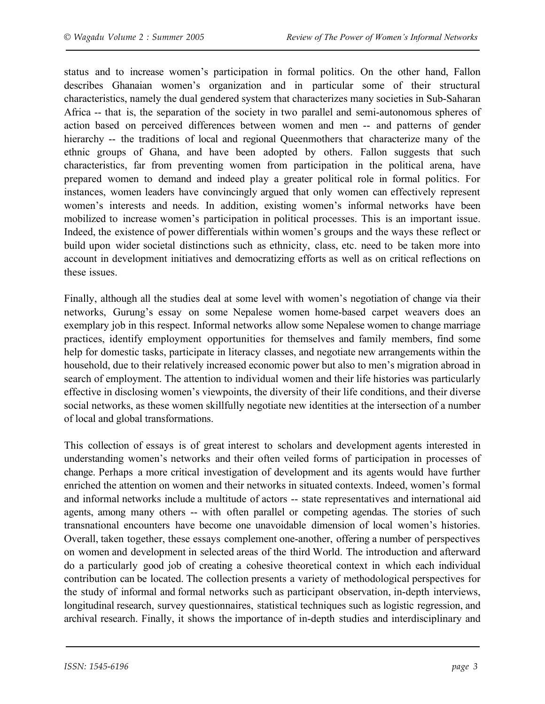status and to increase women's participation in formal politics. On the other hand, Fallon describes Ghanaian women's organization and in particular some of their structural characteristics, namely the dual gendered system that characterizes many societies in Sub-Saharan Africa -- that is, the separation of the society in two parallel and semi-autonomous spheres of action based on perceived differences between women and men -- and patterns of gender hierarchy -- the traditions of local and regional Queenmothers that characterize many of the ethnic groups of Ghana, and have been adopted by others. Fallon suggests that such characteristics, far from preventing women from participation in the political arena, have prepared women to demand and indeed play a greater political role in formal politics. For instances, women leaders have convincingly argued that only women can effectively represent women's interests and needs. In addition, existing women's informal networks have been mobilized to increase women's participation in political processes. This is an important issue. Indeed, the existence of power differentials within women's groups and the ways these reflect or build upon wider societal distinctions such as ethnicity, class, etc. need to be taken more into account in development initiatives and democratizing efforts as well as on critical reflections on these issues.

Finally, although all the studies deal at some level with women's negotiation of change via their networks, Gurung's essay on some Nepalese women home-based carpet weavers does an exemplary job in this respect. Informal networks allow some Nepalese women to change marriage practices, identify employment opportunities for themselves and family members, find some help for domestic tasks, participate in literacy classes, and negotiate new arrangements within the household, due to their relatively increased economic power but also to men's migration abroad in search of employment. The attention to individual women and their life histories was particularly effective in disclosing women's viewpoints, the diversity of their life conditions, and their diverse social networks, as these women skillfully negotiate new identities at the intersection of a number of local and global transformations.

This collection of essays is of great interest to scholars and development agents interested in understanding women's networks and their often veiled forms of participation in processes of change. Perhaps a more critical investigation of development and its agents would have further enriched the attention on women and their networks in situated contexts. Indeed, women's formal and informal networks include a multitude of actors -- state representatives and international aid agents, among many others -- with often parallel or competing agendas. The stories of such transnational encounters have become one unavoidable dimension of local women's histories. Overall, taken together, these essays complement one-another, offering a number of perspectives on women and development in selected areas of the third World. The introduction and afterward do a particularly good job of creating a cohesive theoretical context in which each individual contribution can be located. The collection presents a variety of methodological perspectives for the study of informal and formal networks such as participant observation, in-depth interviews, longitudinal research, survey questionnaires, statistical techniques such as logistic regression, and archival research. Finally, it shows the importance of in-depth studies and interdisciplinary and